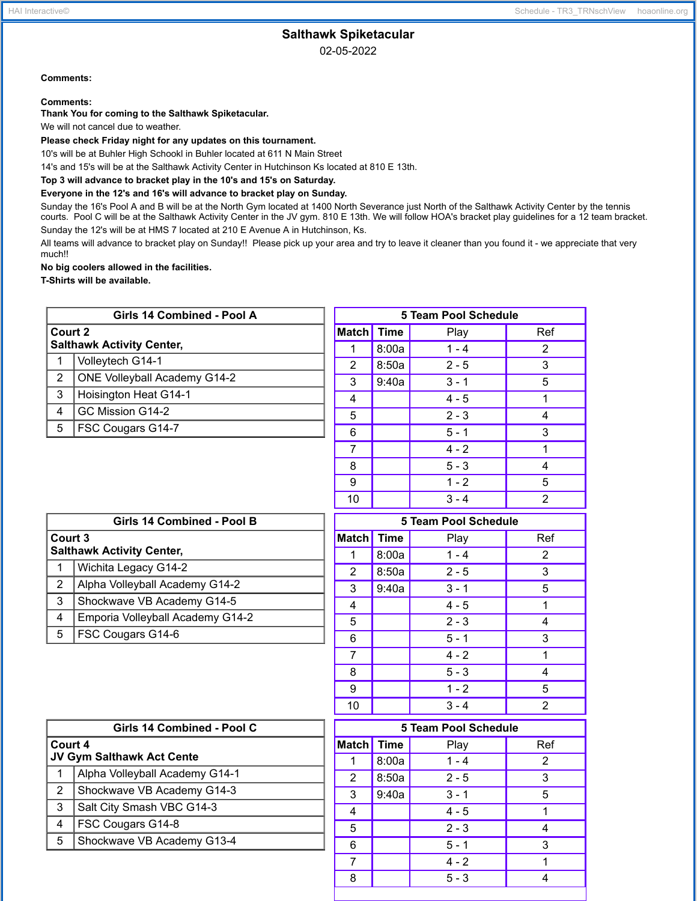## HAI Interactive© Schedule - TR3\_TRNschView hoaonline.org

# **Salthawk Spiketacular**

02-05-2022

# **Comments:**

#### **Comments:**

**Thank You for coming to the Salthawk Spiketacular.**

We will not cancel due to weather.

**Please check Friday night for any updates on this tournament.**

10's will be at Buhler High Schookl in Buhler located at 611 N Main Street

14's and 15's will be at the Salthawk Activity Center in Hutchinson Ks located at 810 E 13th.

# **Top 3 will advance to bracket play in the 10's and 15's on Saturday.**

## **Everyone in the 12's and 16's will advance to bracket play on Sunday.**

Sunday the 16's Pool A and B will be at the North Gym located at 1400 North Severance just North of the Salthawk Activity Center by the tennis courts. Pool C will be at the Salthawk Activity Center in the JV gym. 810 E 13th. We will follow HOA's bracket play guidelines for a 12 team bracket. Sunday the 12's will be at HMS 7 located at 210 E Avenue A in Hutchinson, Ks.

All teams will advance to bracket play on Sunday!! Please pick up your area and try to leave it cleaner than you found it - we appreciate that very much!!

**No big coolers allowed in the facilities.**

**T-Shirts will be available.**

| Girls 14 Combined - Pool A |                                     |  |  |
|----------------------------|-------------------------------------|--|--|
| Court 2                    | <b>Salthawk Activity Center,</b>    |  |  |
|                            | Volleytech G14-1                    |  |  |
| 2                          | <b>ONE Volleyball Academy G14-2</b> |  |  |
| 3                          | Hoisington Heat G14-1               |  |  |
| 4                          | GC Mission G14-2                    |  |  |
| 5                          | FSC Cougars G14-7                   |  |  |
|                            |                                     |  |  |
|                            |                                     |  |  |

| 5 Team Pool Schedule |             |         |     |
|----------------------|-------------|---------|-----|
| <b>Match</b>         | <b>Time</b> | Play    | Ref |
| 1                    | 8:00a       | $1 - 4$ | 2   |
| $\overline{2}$       | 8:50a       | $2 - 5$ | 3   |
| 3                    | 9:40a       | $3 - 1$ | 5   |
| 4                    |             | $4 - 5$ | 1   |
| 5                    |             | $2 - 3$ | 4   |
| 6                    |             | $5 - 1$ | 3   |
| 7                    |             | $4 - 2$ | 1   |
| 8                    |             | $5 - 3$ | 4   |
| 9                    |             | $1 - 2$ | 5   |
| 10                   |             | $3 - 4$ | 2   |

| Girls 14 Combined - Pool B                  |                                  |  |  |
|---------------------------------------------|----------------------------------|--|--|
| Court 3<br><b>Salthawk Activity Center,</b> |                                  |  |  |
| 1                                           | Wichita Legacy G14-2             |  |  |
| $\mathbf{2}^{\circ}$                        | Alpha Volleyball Academy G14-2   |  |  |
| 3                                           | Shockwave VB Academy G14-5       |  |  |
| 4                                           | Emporia Volleyball Academy G14-2 |  |  |
| 5                                           | <b>FSC Cougars G14-6</b>         |  |  |

| <b>5 Team Pool Schedule</b> |             |         |                |
|-----------------------------|-------------|---------|----------------|
| <b>Match</b>                | <b>Time</b> | Play    | Ref            |
| 1                           | 8:00a       | $1 - 4$ | $\overline{2}$ |
| 2                           | 8:50a       | $2 - 5$ | 3              |
| 3                           | 9:40a       | $3 - 1$ | 5              |
| 4                           |             | $4 - 5$ |                |
| 5                           |             | $2 - 3$ | 4              |
| 6                           |             | $5 - 1$ | 3              |
| $\overline{7}$              |             | $4 - 2$ | 1              |
| 8                           |             | $5 - 3$ | 4              |
| 9                           |             | $1 - 2$ | 5              |
| 10                          |             | $3 - 4$ | 2              |

| Girls 14 Combined - Pool C           |                                |  |  |
|--------------------------------------|--------------------------------|--|--|
| Court 4<br>JV Gym Salthawk Act Cente |                                |  |  |
| 1                                    | Alpha Volleyball Academy G14-1 |  |  |
| $\overline{2}$                       | Shockwave VB Academy G14-3     |  |  |
| 3                                    | Salt City Smash VBC G14-3      |  |  |
| 4                                    | FSC Cougars G14-8              |  |  |
| 5                                    | Shockwave VB Academy G13-4     |  |  |
|                                      |                                |  |  |

| 5 Team Pool Schedule |             |         |                |
|----------------------|-------------|---------|----------------|
| <b>Match</b>         | <b>Time</b> | Play    | Ref            |
| 1                    | 8:00a       | $1 - 4$ | $\overline{2}$ |
| 2                    | 8:50a       | $2 - 5$ | 3              |
| 3                    | 9:40a       | $3 - 1$ | 5              |
| 4                    |             | $4 - 5$ |                |
| 5                    |             | $2 - 3$ | 4              |
| 6                    |             | $5 - 1$ | 3              |
| 7                    |             | $4 - 2$ |                |
| 8                    |             | $5 - 3$ |                |
|                      |             |         |                |